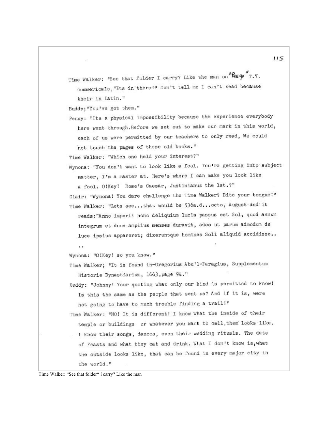Time Walker: "See that folder I carry? Like the man on" $R_{E}q_{\theta}$ "T.V. commericals, "Its in there!" Don't tell me I can't read because their in Latin."

Buddy; "You've got them."

Penny: "Its a physical impossibility because the experience everybody here went through. Before we set out to make our mark in this world, each of us were permitted by our teachers to only read, We could not touch the pages of these old books."

Time Walker: "Which one held your interest?"

Wynona: "You don't want to look like a fool. You're getting into subject matter, I'm a master at. Here's where I can make you look like a fool. OlKey! Rome's Caesar, Justinianus the 1st.?" Clair: "Wynona! You dare challenge the Time Walker? Bite your tongue!"

Time Walker: "Lets see...that would be 536a.d...octo, August and it reads: "Anno imperii nono deliquium lucis passus est Sol, quod annum integrum et duos amplius menses duravit, adeo ut parum admodum de luce ipsius appareret; dixeruntque homines Soli aliquid accidisse..

Wynona: "O!Key! so you know."

 $\ddot{\phantom{a}}$ 

- Time Walker; "It is found in-Gregorius Abu'l-Faragius, Supplementum Historie Dynastiarium, 1663, page 94."
- Buddy: "Johnny! Your quoting what only our kind is permitted to know! Is this the same as the people that sent us? And if it is, were not going to have to much trouble finding a trail!"

Time Walker: "NO! It is different! I know what the inside of their temple or buildings or whatever you want to call, them looks like. I know their songs, dances, even their wedding rituals. The date of Feasts and what they eat and drink. What I don't know is, what the outside looks like, that can be found in every major city in the world."

Time Walker: "See that folder\* î carry? Like the man